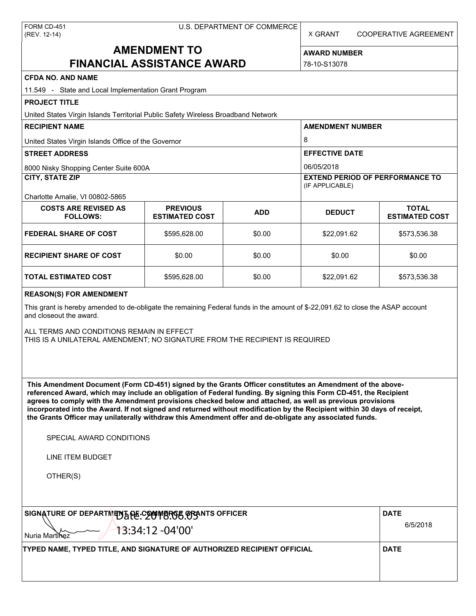X GRANT COOPERATIVE AGREEMENT

# **AMENDMENT TO FINANCIAL ASSISTANCE AWARD**

**AWARD NUMBER** 78-10-S13078

| <b>CFDA NO. AND NAME</b>                                                                                                                                                                                                                                                                                                                                                                                                                                                                                                                                                          |                                          |                                                           |                         |                                       |  |  |  |
|-----------------------------------------------------------------------------------------------------------------------------------------------------------------------------------------------------------------------------------------------------------------------------------------------------------------------------------------------------------------------------------------------------------------------------------------------------------------------------------------------------------------------------------------------------------------------------------|------------------------------------------|-----------------------------------------------------------|-------------------------|---------------------------------------|--|--|--|
| 11.549 - State and Local Implementation Grant Program                                                                                                                                                                                                                                                                                                                                                                                                                                                                                                                             |                                          |                                                           |                         |                                       |  |  |  |
| <b>PROJECT TITLE</b>                                                                                                                                                                                                                                                                                                                                                                                                                                                                                                                                                              |                                          |                                                           |                         |                                       |  |  |  |
| United States Virgin Islands Territorial Public Safety Wireless Broadband Network                                                                                                                                                                                                                                                                                                                                                                                                                                                                                                 |                                          |                                                           |                         |                                       |  |  |  |
| <b>RECIPIENT NAME</b>                                                                                                                                                                                                                                                                                                                                                                                                                                                                                                                                                             |                                          |                                                           | <b>AMENDMENT NUMBER</b> |                                       |  |  |  |
| United States Virgin Islands Office of the Governor                                                                                                                                                                                                                                                                                                                                                                                                                                                                                                                               |                                          |                                                           | 8                       |                                       |  |  |  |
| <b>STREET ADDRESS</b>                                                                                                                                                                                                                                                                                                                                                                                                                                                                                                                                                             |                                          |                                                           | <b>EFFECTIVE DATE</b>   |                                       |  |  |  |
| 8000 Nisky Shopping Center Suite 600A                                                                                                                                                                                                                                                                                                                                                                                                                                                                                                                                             |                                          |                                                           | 06/05/2018              |                                       |  |  |  |
| <b>CITY, STATE ZIP</b>                                                                                                                                                                                                                                                                                                                                                                                                                                                                                                                                                            |                                          | <b>EXTEND PERIOD OF PERFORMANCE TO</b><br>(IF APPLICABLE) |                         |                                       |  |  |  |
| Charlotte Amalie, VI 00802-5865<br><b>COSTS ARE REVISED AS</b><br><b>FOLLOWS:</b>                                                                                                                                                                                                                                                                                                                                                                                                                                                                                                 | <b>PREVIOUS</b><br><b>ESTIMATED COST</b> | <b>ADD</b>                                                | <b>DEDUCT</b>           | <b>TOTAL</b><br><b>ESTIMATED COST</b> |  |  |  |
| <b>FEDERAL SHARE OF COST</b>                                                                                                                                                                                                                                                                                                                                                                                                                                                                                                                                                      | \$595,628.00                             | \$0.00                                                    | \$22,091.62             | \$573,536.38                          |  |  |  |
| <b>RECIPIENT SHARE OF COST</b>                                                                                                                                                                                                                                                                                                                                                                                                                                                                                                                                                    | \$0.00                                   | \$0.00                                                    | \$0.00                  | \$0.00                                |  |  |  |
| <b>TOTAL ESTIMATED COST</b>                                                                                                                                                                                                                                                                                                                                                                                                                                                                                                                                                       | \$595,628.00                             | \$0.00                                                    | \$22,091.62             | \$573,536.38                          |  |  |  |
| <b>REASON(S) FOR AMENDMENT</b>                                                                                                                                                                                                                                                                                                                                                                                                                                                                                                                                                    |                                          |                                                           |                         |                                       |  |  |  |
| This grant is hereby amended to de-obligate the remaining Federal funds in the amount of \$-22,091.62 to close the ASAP account<br>and closeout the award.<br>ALL TERMS AND CONDITIONS REMAIN IN EFFECT<br>THIS IS A UNILATERAL AMENDMENT; NO SIGNATURE FROM THE RECIPIENT IS REQUIRED                                                                                                                                                                                                                                                                                            |                                          |                                                           |                         |                                       |  |  |  |
| This Amendment Document (Form CD-451) signed by the Grants Officer constitutes an Amendment of the above-<br>referenced Award, which may include an obligation of Federal funding. By signing this Form CD-451, the Recipient<br>agrees to comply with the Amendment provisions checked below and attached, as well as previous provisions<br>incorporated into the Award. If not signed and returned without modification by the Recipient within 30 days of receipt,<br>the Grants Officer may unilaterally withdraw this Amendment offer and de-obligate any associated funds. |                                          |                                                           |                         |                                       |  |  |  |
| SPECIAL AWARD CONDITIONS                                                                                                                                                                                                                                                                                                                                                                                                                                                                                                                                                          |                                          |                                                           |                         |                                       |  |  |  |
| LINE ITEM BUDGET                                                                                                                                                                                                                                                                                                                                                                                                                                                                                                                                                                  |                                          |                                                           |                         |                                       |  |  |  |
| OTHER(S)                                                                                                                                                                                                                                                                                                                                                                                                                                                                                                                                                                          |                                          |                                                           |                         |                                       |  |  |  |
| SIGNATURE OF DEPARTMENT AF COMMERGE GRANTS OFFICER                                                                                                                                                                                                                                                                                                                                                                                                                                                                                                                                | <b>DATE</b>                              |                                                           |                         |                                       |  |  |  |
| 13:34:12 -04'00'<br>Nuria Martinez                                                                                                                                                                                                                                                                                                                                                                                                                                                                                                                                                | 6/5/2018                                 |                                                           |                         |                                       |  |  |  |
| TYPED NAME, TYPED TITLE, AND SIGNATURE OF AUTHORIZED RECIPIENT OFFICIAL                                                                                                                                                                                                                                                                                                                                                                                                                                                                                                           | <b>DATE</b>                              |                                                           |                         |                                       |  |  |  |